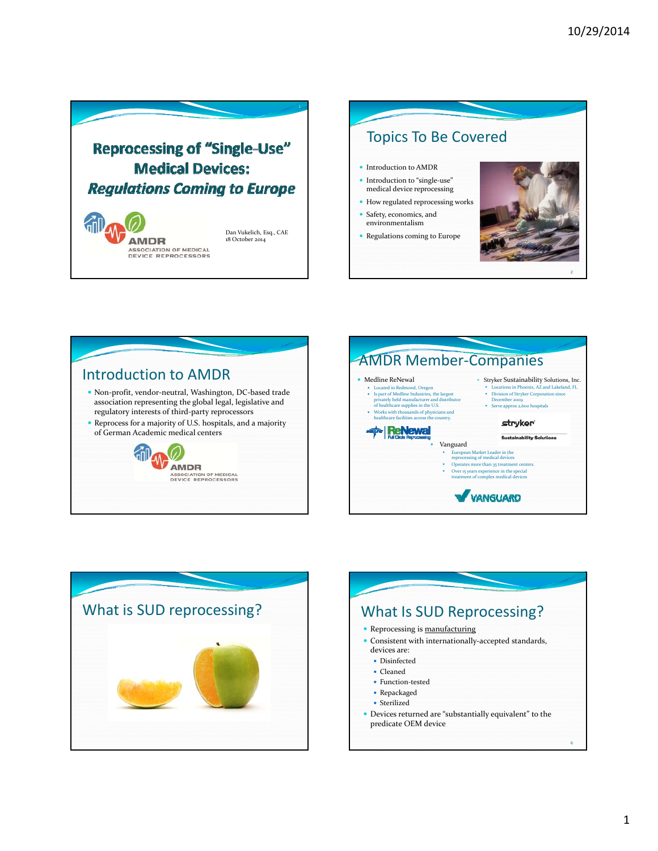

ASSOCIATION OF MEDICAL<br>DEVICE REPROCESSORS









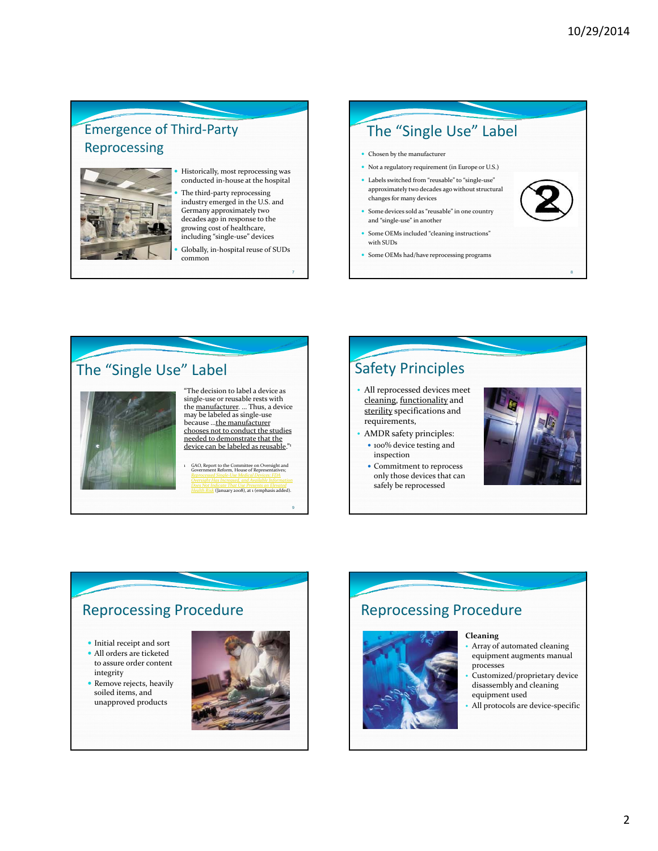### Emergence of Third‐Party Reprocessing



 Historically, most reprocessing was conducted in‐house at the hospital

• The third-party reprocessing industry emerged in the U.S. and Germany approximately two decades ago in response to the growing cost of healthcare, including "single‐use" devices

 Globally, in‐hospital reuse of SUDs common

## The "Single Use" Label

- Chosen by the manufacturer
- Not a regulatory requirement (in Europe or U.S.)
- Labels switched from "reusable" to "single‐use" approximately two decades ago without structural changes for many devices
- Some devices sold as "reusable" in one country and "single‐use" in another
- Some OEMs included "cleaning instructions" with SUDs
- Some OEMs had/have reprocessing programs



# Safety Principles

- All reprocessed devices meet cleaning, functionality and sterility specifications and requirements,
- AMDR safety principles: • 100% device testing and
- inspection • Commitment to reprocess
- only those devices that can safely be reprocessed



8

### Reprocessing Procedure

 $\bullet$  Initial receipt and sort

- All orders are ticketed to assure order content integrity
- Remove rejects, heavily soiled items, and unapproved products



9

## Reprocessing Procedure



**Cleaning**

- Array of automated cleaning equipment augments manual processes
- Customized/proprietary device disassembly and cleaning equipment used
- All protocols are device-specific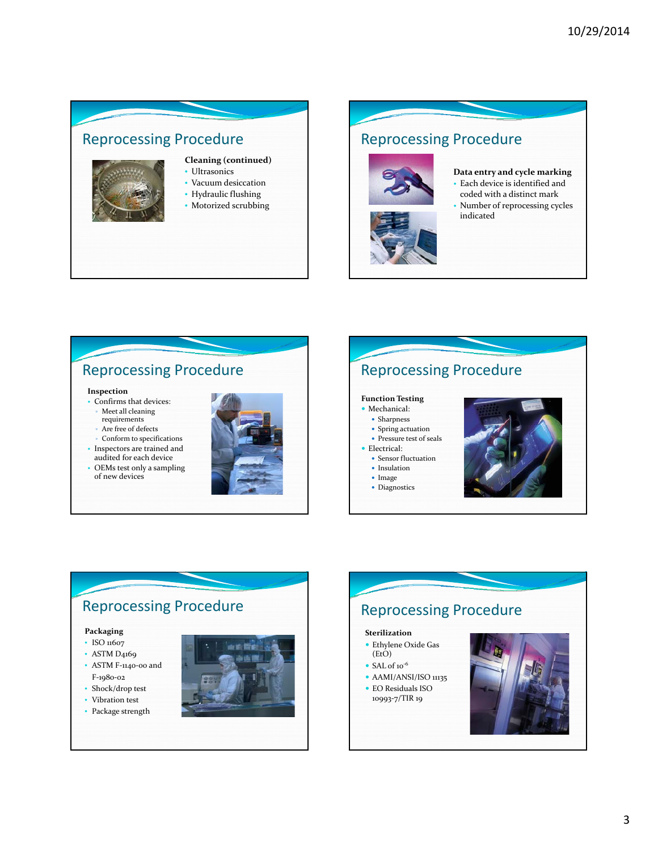

## Reprocessing Procedure



- **Data entry and cycle marking**
- Each device is identified and coded with a distinct mark
- Number of reprocessing cycles indicated

### Reprocessing Procedure

#### **Inspection**

- Confirms that devices: Meet all cleaning
	- requirements
	- Are free of defects
- Conform to specifications • Inspectors are trained and audited for each device
- OEMs test only a sampling of new devices





## Reprocessing Procedure

#### **Packaging**

• ISO 11607

- ASTM D<sub>4169</sub> • ASTM F-1140-00 and
- F‐1980‐02
- Shock/drop test
- Vibration test
- Package strength



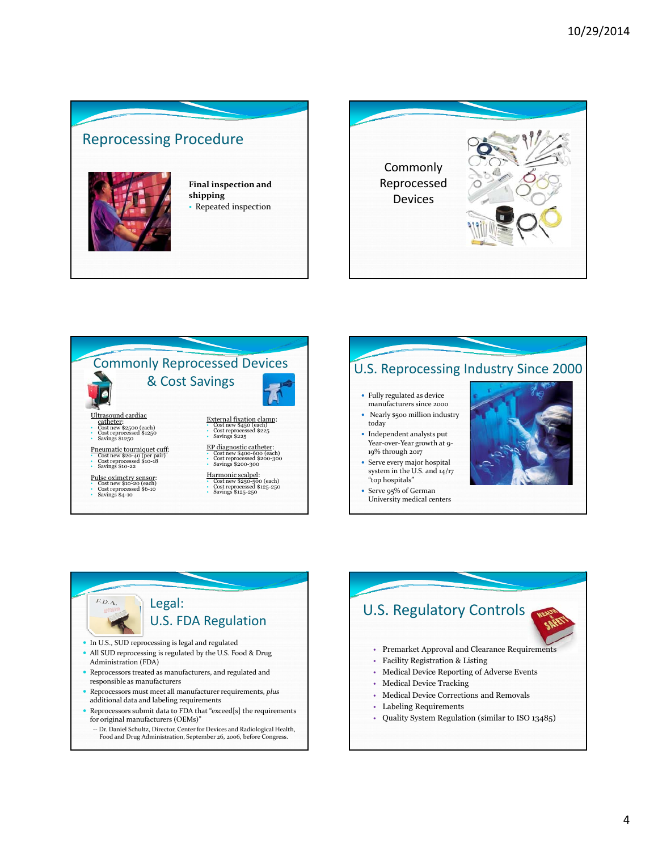









-- Dr. Daniel Schultz, Director, Center for Devices and Radiological Health, Food and Drug Administration, September 26, 2006, before Congress.

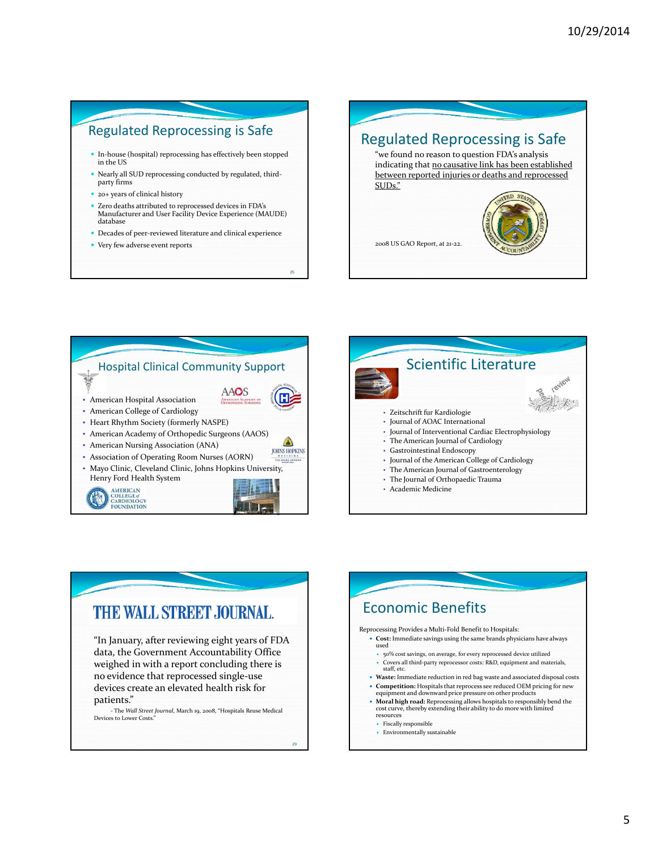#### Regulated Reprocessing is Safe

- $\bullet~$  In-house (hospital) reprocessing has effectively been stopped in the US
- Nearly all SUD reprocessing conducted by regulated, third‐ party firms
- 20+ years of clinical history
- Zero deaths attributed to reprocessed devices in FDA's Manufacturer and User Facility Device Experience (MAUDE) database
- Decades of peer‐reviewed literature and clinical experience

25

Very few adverse event reports







#### THE WALL STREET JOURNAL. "In January, after reviewing eight years of FDA used data, the Government Accountability Office weighed in with a report concluding there is no evidence that reprocessed single‐use devices create an elevated health risk for patients." ‐ The *Wall Street Journal*, March 19, 2008, "Hospitals Reuse Medical resources Devices to Lower Costs." • Fiscally responsible 29

### Economic Benefits Reprocessing Provides a Multi‐Fold Benefit to Hospitals: **Cost:** Immediate savings using the same brands physicians have always 50% cost savings, on average, for every reprocessed device utilized • Covers all third-party reprocessor costs: R&D, equipment and materials, staff, etc. **Waste:** Immediate reduction in red bag waste and associated disposal costs **Competition:** Hospitals that reprocess see reduced OEM pricing for new equipment and downward price pressure on other products **Moral high road:** Reprocessing allows hospitals to responsibly bend the cost curve, thereby extending their ability to do more with limited Environmentally sustainable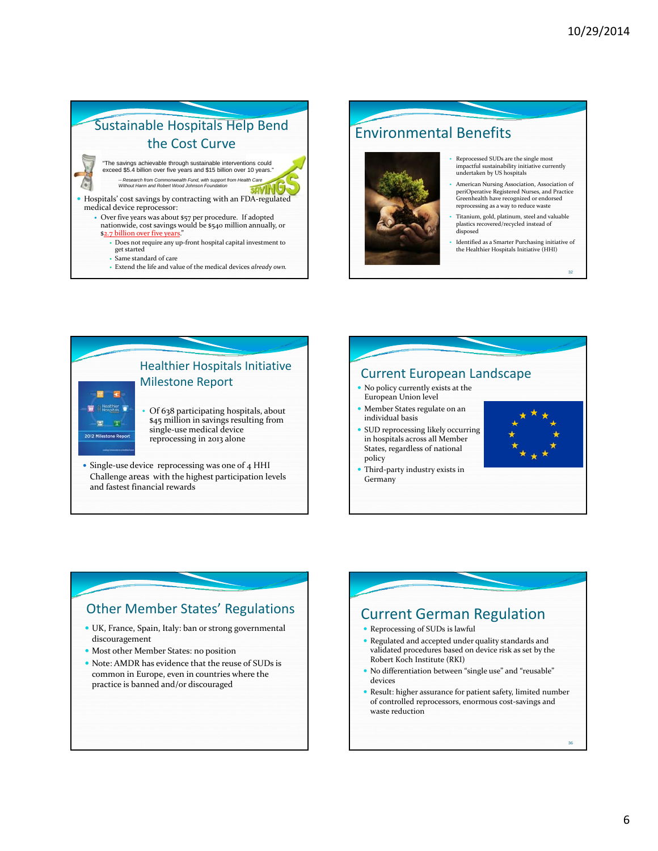## Sustainable Hospitals Help Bend the Cost Curve

- "The savings achievable through sustainable interventions could exceed \$5.4 billion over five years and \$15 billion over 10 years." *-- Research from Commonwealth Fund, with support from Health Care Without Harm and Robert Wood Johnson Foundation*
- Hospitals' cost savings by contracting with an FDA-regulated medical device reprocessor:
	- Over five years was about \$57 per procedure. If adopted nationwide, cost savings would be \$540 million annually, or \$2.7 billion over five years
		- Does not require any up‐front hospital capital investment to get started
		- Same standard of care
		- Extend the life and value of the medical devices *already own.*

### Environmental Benefits • Reprocessed SUDs are the single most impactful sustainability initiative currently undertaken by US hospitals • American Nursing Association, Association of periOperative Registered Nurses, and Practice Greenhealth have recognized or endorsed reprocessing as a way to reduce waste • Titanium, gold, platinum, steel and valuable plastics recovered/recycled instead of disposed

• Identified as a Smarter Purchasing initiative of the Healthier Hospitals Initiative (HHI)

32



• Single-use device reprocessing was one of 4 HHI Challenge areas with the highest participation levels and fastest financial rewards

#### Current European Landscape No policy currently exists at the European Union level Member States regulate on an individual basis SUD reprocessing likely occurring in hospitals across all Member States, regardless of national policy Third‐party industry exists in Germany

### Other Member States' Regulations

- UK, France, Spain, Italy: ban or strong governmental discouragement
- Most other Member States: no position
- Note: AMDR has evidence that the reuse of SUDs is common in Europe, even in countries where the practice is banned and/or discouraged

# Current German Regulation

- Reprocessing of SUDs is lawful
- Regulated and accepted under quality standards and validated procedures based on device risk as set by the Robert Koch Institute (RKI)
- No differentiation between "single use" and "reusable" devices
- Result: higher assurance for patient safety, limited number of controlled reprocessors, enormous cost‐savings and waste reduction

36